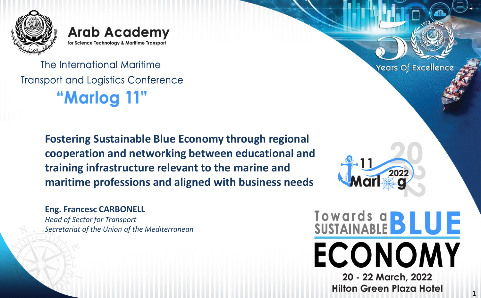

**Arab Academy** for Science Technology & Maritime Transport

The International Maritime **Transport and Logistics Conference** "Marlog 11"

> **Fostering Sustainable Blue Economy through regional cooperation and networking between educational and training infrastructure relevant to the marine and maritime professions and aligned with business needs**

**Eng. Francesc CARBONELL** *Head of Sector for Transport Secretariat of the Union of the Mediterranean*

> 20 - 22 March, 2022 **Hilton Green Plaza Hotel**

**ECONOMY** 

Towards a **BLUE** 

202

Years Of Excellence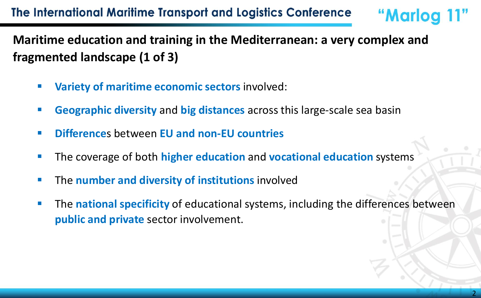**Maritime education and training in the Mediterranean: a very complex and fragmented landscape (1 of 3)**

- **Variety of maritime economic sectors** involved:
- **Geographic diversity** and **big distances** across this large-scale sea basin
- **Difference**s between **EU and non-EU countries**
- The coverage of both **higher education** and **vocational education** systems
- **E** The **number and diversity of institutions** involved
- **The national specificity of educational systems, including the differences between public and private** sector involvement.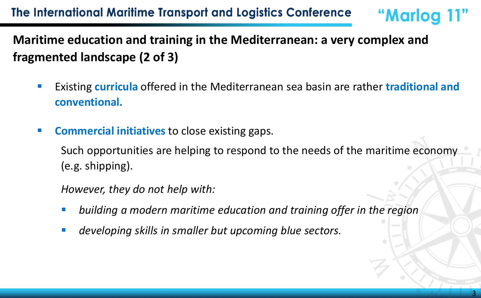## **Maritime education and training in the Mediterranean: a very complex and fragmented landscape (2 of 3)**

- Existing **curricula** offered in the Mediterranean sea basin are rather **traditional and conventional.**
- **Commercial initiatives** to close existing gaps.

Such opportunities are helping to respond to the needs of the maritime economy (e.g. shipping).

*However, they do not help with:*

- building a modern maritime education and training offer in the region
- developing skills in smaller but upcoming blue sectors.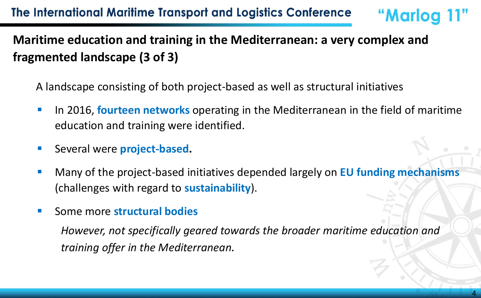# **Maritime education and training in the Mediterranean: a very complex and fragmented landscape (3 of 3)**

A landscape consisting of both project-based as well as structural initiatives

- **EXTE:** In 2016, **fourteen networks** operating in the Mediterranean in the field of maritime education and training were identified.
- Several were **project-based.**
- Many of the project-based initiatives depended largely on **EU funding mechanisms** (challenges with regard to **sustainability**).
- Some more **structural bodies**

*However, not specifically geared towards the broader maritime education and training offer in the Mediterranean.*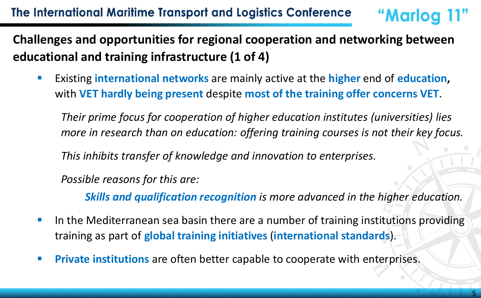## **Challenges and opportunities for regional cooperation and networking between educational and training infrastructure (1 of 4)**

▪ Existing **international networks** are mainly active at the **higher** end of **education,**  with **VET hardly being present** despite **most of the training offer concerns VET**.

*Their prime focus for cooperation of higher education institutes (universities) lies more in research than on education: offering training courses is not their key focus.*

*This inhibits transfer of knowledge and innovation to enterprises.* 

*Possible reasons for this are:*

*Skills and qualification recognition is more advanced in the higher education.* 

- **In the Mediterranean sea basin there are a number of training institutions providing** training as part of **global training initiatives** (**international standards**).
- **Private institutions** are often better capable to cooperate with enterprises.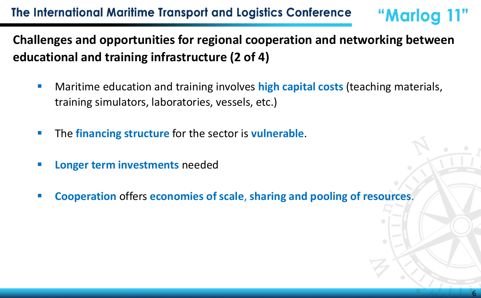**Challenges and opportunities for regional cooperation and networking between educational and training infrastructure (2 of 4)**

- Maritime education and training involves **high capital costs** (teaching materials, training simulators, laboratories, vessels, etc.)
- The **financing structure** for the sector is **vulnerable**.
- **Longer term investments needed**
- **Cooperation** offers **economies of scale**, **sharing and pooling of resources**.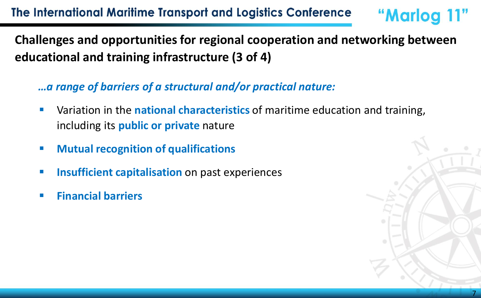**Challenges and opportunities for regional cooperation and networking between educational and training infrastructure (3 of 4)**

*…a range of barriers of a structural and/or practical nature:* 

- Variation in the **national characteristics** of maritime education and training, including its **public or private** nature
- **Mutual recognition of qualifications**
- **<u><b>E** Insufficient capitalisation on past experiences</u>
- **Financial barriers**

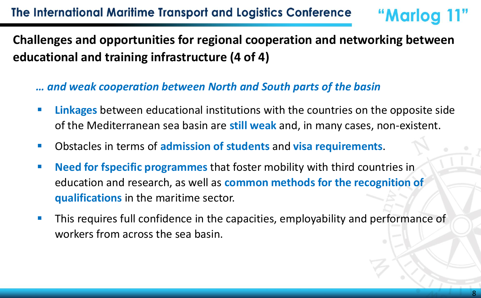## **Challenges and opportunities for regional cooperation and networking between educational and training infrastructure (4 of 4)**

#### *… and weak cooperation between North and South parts of the basin*

- **EXTE:** Linkages between educational institutions with the countries on the opposite side of the Mediterranean sea basin are **still weak** and, in many cases, non-existent.
- Obstacles in terms of **admission of students** and **visa requirements**.
- **Need for fspecific programmes** that foster mobility with third countries in education and research, as well as **common methods for the recognition of qualifications** in the maritime sector.
- **This requires full confidence in the capacities, employability and performance of** workers from across the sea basin.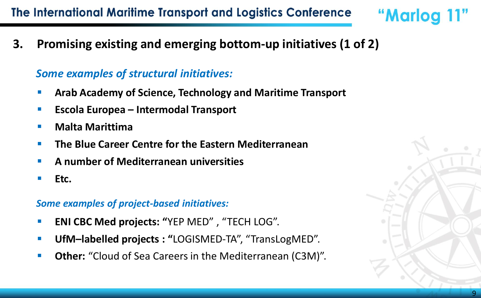### The International Maritime Transport and Logistics Conference

**3. Promising existing and emerging bottom-up initiatives (1 of 2)**

#### *Some examples of structural initiatives:*

- **Arab Academy of Science, Technology and Maritime Transport**
- **Escola Europea – Intermodal Transport**
- **Malta Marittima**
- **The Blue Career Centre for the Eastern Mediterranean**
- **A number of Mediterranean universities**
- Etc.

#### *Some examples of project-based initiatives:*

- **ENI CBC Med projects: "YEP MED", "TECH LOG".**
- **UfM–labelled projects : "**LOGISMED-TA", "TransLogMED".
- **Other:** "Cloud of Sea Careers in the Mediterranean (C3M)".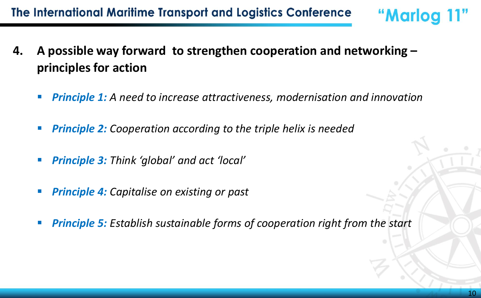- **4. A possible way forward to strengthen cooperation and networking – principles for action** 
	- **Principle 1:** A need to increase attractiveness, modernisation and innovation
	- **Principle 2:** Cooperation according to the triple helix is needed
	- **Principle 3:** Think 'global' and act 'local'
	- **Principle 4:** Capitalise on existing or past
	- **Principle 5:** Establish sustainable forms of cooperation right from the start

"Marlog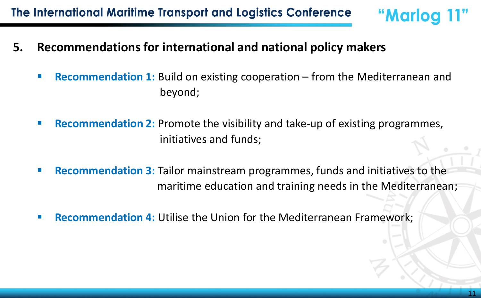- **5. Recommendations for international and national policy makers** 
	- **Recommendation 1:** Build on existing cooperation from the Mediterranean and beyond;
	- **Recommendation 2:** Promote the visibility and take-up of existing programmes, initiatives and funds;
	- **EXECOMMENDERIAT 2:** Tailor mainstream programmes, funds and initiatives to the maritime education and training needs in the Mediterranean;
	- **Recommendation 4:** Utilise the Union for the Mediterranean Framework;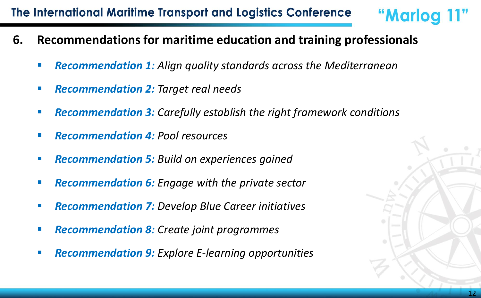### The International Maritime Transport and Logistics Conference

- **6. Recommendations for maritime education and training professionals** 
	- **Recommendation 1:** Align quality standards across the Mediterranean
	- *Recommendation 2: Target real needs*
	- *Recommendation 3: Carefully establish the right framework conditions*
	- *Recommendation 4: Pool resources*
	- *Recommendation 5: Build on experiences gained*
	- *Recommendation 6: Engage with the private sector*
	- *Recommendation 7: Develop Blue Career initiatives*
	- *Recommendation 8: Create joint programmes*
	- **Recommendation 9:** Explore E-learning opportunities



"Marlog